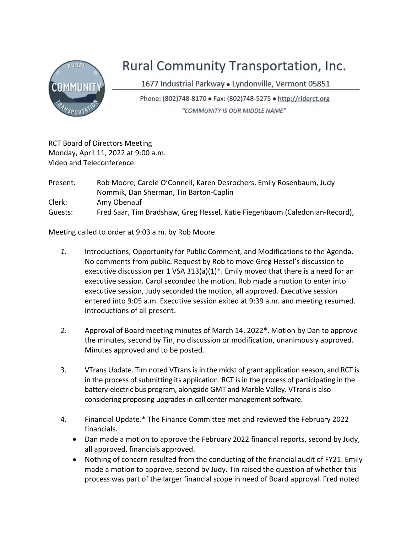

## Rural Community Transportation, Inc.

1677 Industrial Parkway · Lyndonville, Vermont 05851

Phone: (802)748-8170 · Fax: (802)748-5275 · http://riderct.org "COMMUNITY IS OUR MIDDLE NAME"

RCT Board of Directors Meeting Monday, April 11, 2022 at 9:00 a.m. Video and Teleconference

Present: Rob Moore, Carole O'Connell, Karen Desrochers, Emily Rosenbaum, Judy Nommik, Dan Sherman, Tin Barton-Caplin Clerk: Amy Obenauf Guests: Fred Saar, Tim Bradshaw, Greg Hessel, Katie Fiegenbaum (Caledonian-Record),

Meeting called to order at 9:03 a.m. by Rob Moore.

- 1. Introductions, Opportunity for Public Comment, and Modifications to the Agenda. No comments from public. Request by Rob to move Greg Hessel's discussion to executive discussion per 1 VSA 313(a)(1)\*. Emily moved that there is a need for an executive session. Carol seconded the motion. Rob made a motion to enter into executive session, Judy seconded the motion, all approved. Executive session entered into 9:05 a.m. Executive session exited at 9:39 a.m. and meeting resumed. Introductions of all present.
- 2. Approval of Board meeting minutes of March 14, 2022\*. Motion by Dan to approve the minutes, second by Tin, no discussion or modification, unanimously approved. Minutes approved and to be posted.
- 3. VTrans Update. Tim noted VTrans is in the midst of grant application season, and RCT is in the process of submitting its application. RCT is in the process of participating in the battery-electric bus program, alongside GMT and Marble Valley. VTrans is also considering proposing upgrades in call center management software.
- 4. Financial Update.\* The Finance Committee met and reviewed the February 2022 financials.
	- Dan made a motion to approve the February 2022 financial reports, second by Judy, all approved, financials approved.
	- Nothing of concern resulted from the conducting of the financial audit of FY21. Emily made a motion to approve, second by Judy. Tin raised the question of whether this process was part of the larger financial scope in need of Board approval. Fred noted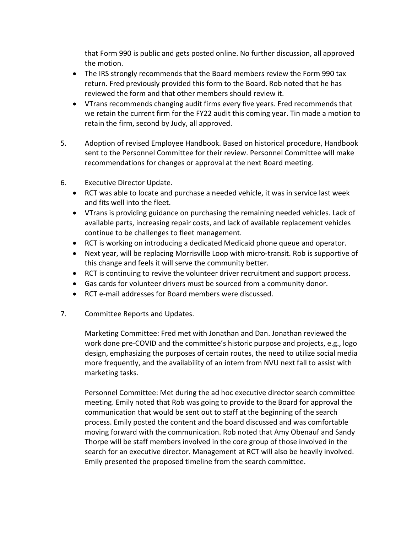that Form 990 is public and gets posted online. No further discussion, all approved the motion.

- The IRS strongly recommends that the Board members review the Form 990 tax return. Fred previously provided this form to the Board. Rob noted that he has reviewed the form and that other members should review it.
- VTrans recommends changing audit firms every five years. Fred recommends that we retain the current firm for the FY22 audit this coming year. Tin made a motion to retain the firm, second by Judy, all approved.
- 5. Adoption of revised Employee Handbook. Based on historical procedure, Handbook sent to the Personnel Committee for their review. Personnel Committee will make recommendations for changes or approval at the next Board meeting.
- 6. Executive Director Update.
	- RCT was able to locate and purchase a needed vehicle, it was in service last week and fits well into the fleet.
	- VTrans is providing guidance on purchasing the remaining needed vehicles. Lack of available parts, increasing repair costs, and lack of available replacement vehicles continue to be challenges to fleet management.
	- RCT is working on introducing a dedicated Medicaid phone queue and operator.
	- Next year, will be replacing Morrisville Loop with micro-transit. Rob is supportive of this change and feels it will serve the community better.
	- RCT is continuing to revive the volunteer driver recruitment and support process.
	- Gas cards for volunteer drivers must be sourced from a community donor.
	- RCT e-mail addresses for Board members were discussed.
- 7. Committee Reports and Updates.

Marketing Committee: Fred met with Jonathan and Dan. Jonathan reviewed the work done pre-COVID and the committee's historic purpose and projects, e.g., logo design, emphasizing the purposes of certain routes, the need to utilize social media more frequently, and the availability of an intern from NVU next fall to assist with marketing tasks.

Personnel Committee: Met during the ad hoc executive director search committee meeting. Emily noted that Rob was going to provide to the Board for approval the communication that would be sent out to staff at the beginning of the search process. Emily posted the content and the board discussed and was comfortable moving forward with the communication. Rob noted that Amy Obenauf and Sandy Thorpe will be staff members involved in the core group of those involved in the search for an executive director. Management at RCT will also be heavily involved. Emily presented the proposed timeline from the search committee.